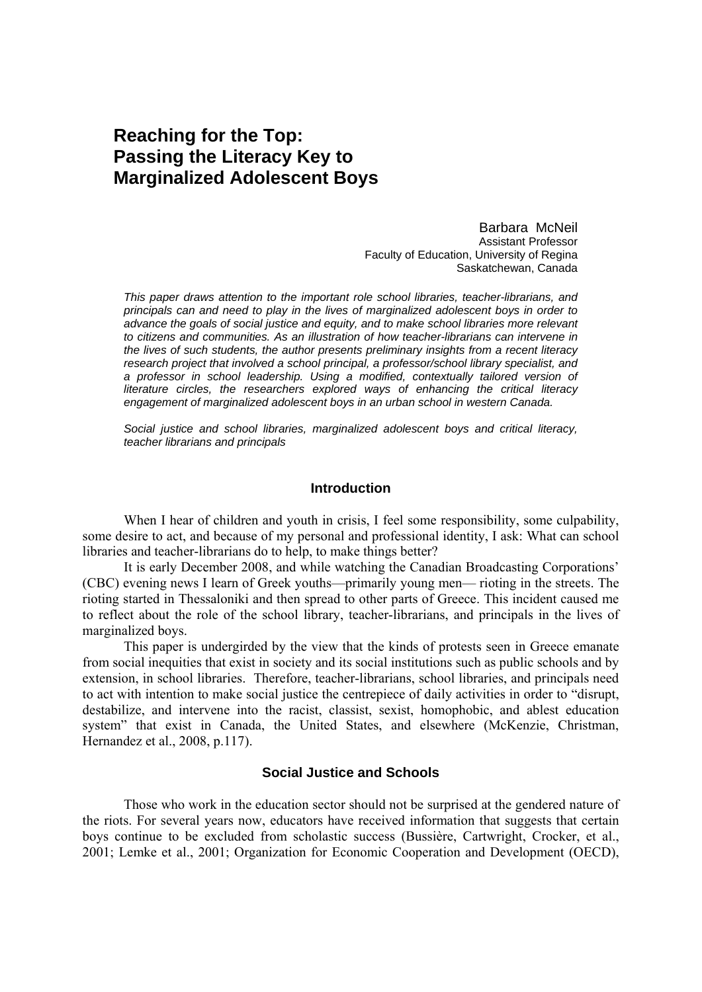# **Reaching for the Top: Passing the Literacy Key to Marginalized Adolescent Boys**

Barbara McNeil Assistant Professor Faculty of Education, University of Regina Saskatchewan, Canada

*This paper draws attention to the important role school libraries, teacher-librarians, and principals can and need to play in the lives of marginalized adolescent boys in order to advance the goals of social justice and equity, and to make school libraries more relevant to citizens and communities. As an illustration of how teacher-librarians can intervene in the lives of such students, the author presents preliminary insights from a recent literacy research project that involved a school principal, a professor/school library specialist, and a professor in school leadership. Using a modified, contextually tailored version of literature circles, the researchers explored ways of enhancing the critical literacy engagement of marginalized adolescent boys in an urban school in western Canada.* 

*Social justice and school libraries, marginalized adolescent boys and critical literacy, teacher librarians and principals*

#### **Introduction**

When I hear of children and youth in crisis, I feel some responsibility, some culpability, some desire to act, and because of my personal and professional identity, I ask: What can school libraries and teacher-librarians do to help, to make things better?

It is early December 2008, and while watching the Canadian Broadcasting Corporations' (CBC) evening news I learn of Greek youths—primarily young men— rioting in the streets. The rioting started in Thessaloniki and then spread to other parts of Greece. This incident caused me to reflect about the role of the school library, teacher-librarians, and principals in the lives of marginalized boys.

This paper is undergirded by the view that the kinds of protests seen in Greece emanate from social inequities that exist in society and its social institutions such as public schools and by extension, in school libraries. Therefore, teacher-librarians, school libraries, and principals need to act with intention to make social justice the centrepiece of daily activities in order to "disrupt, destabilize, and intervene into the racist, classist, sexist, homophobic, and ablest education system" that exist in Canada, the United States, and elsewhere (McKenzie, Christman, Hernandez et al., 2008, p.117).

# **Social Justice and Schools**

Those who work in the education sector should not be surprised at the gendered nature of the riots. For several years now, educators have received information that suggests that certain boys continue to be excluded from scholastic success (Bussière, Cartwright, Crocker, et al., 2001; Lemke et al., 2001; Organization for Economic Cooperation and Development (OECD),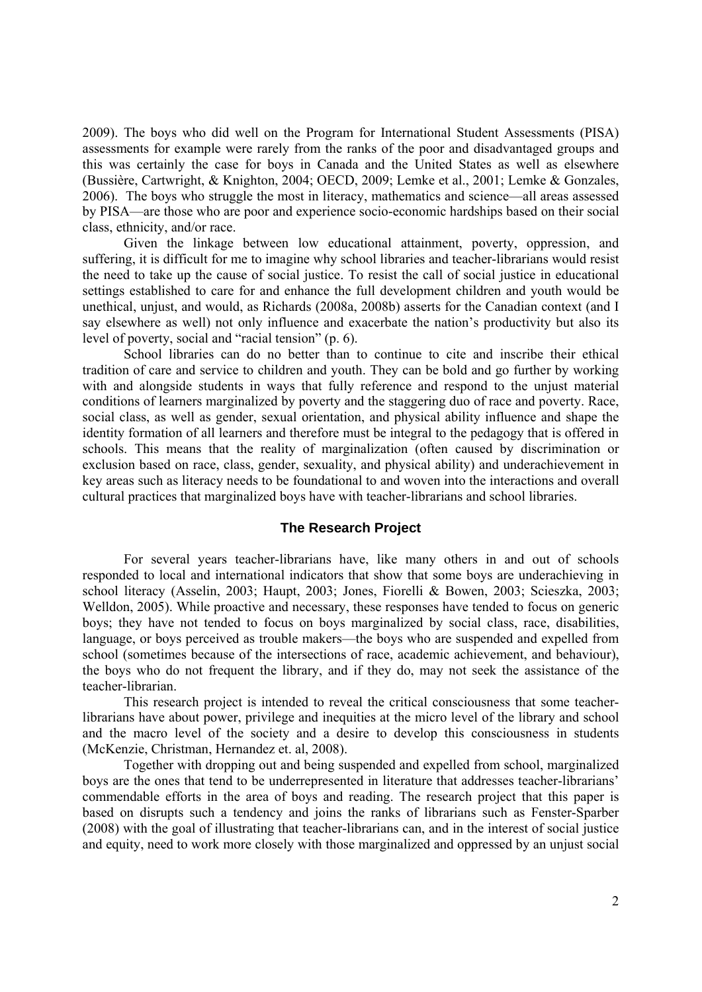2009). The boys who did well on the Program for International Student Assessments (PISA) assessments for example were rarely from the ranks of the poor and disadvantaged groups and this was certainly the case for boys in Canada and the United States as well as elsewhere (Bussière, Cartwright, & Knighton, 2004; OECD, 2009; Lemke et al., 2001; Lemke & Gonzales, 2006). The boys who struggle the most in literacy, mathematics and science—all areas assessed by PISA—are those who are poor and experience socio-economic hardships based on their social class, ethnicity, and/or race.

Given the linkage between low educational attainment, poverty, oppression, and suffering, it is difficult for me to imagine why school libraries and teacher-librarians would resist the need to take up the cause of social justice. To resist the call of social justice in educational settings established to care for and enhance the full development children and youth would be unethical, unjust, and would, as Richards (2008a, 2008b) asserts for the Canadian context (and I say elsewhere as well) not only influence and exacerbate the nation's productivity but also its level of poverty, social and "racial tension" (p. 6).

School libraries can do no better than to continue to cite and inscribe their ethical tradition of care and service to children and youth. They can be bold and go further by working with and alongside students in ways that fully reference and respond to the unjust material conditions of learners marginalized by poverty and the staggering duo of race and poverty. Race, social class, as well as gender, sexual orientation, and physical ability influence and shape the identity formation of all learners and therefore must be integral to the pedagogy that is offered in schools. This means that the reality of marginalization (often caused by discrimination or exclusion based on race, class, gender, sexuality, and physical ability) and underachievement in key areas such as literacy needs to be foundational to and woven into the interactions and overall cultural practices that marginalized boys have with teacher-librarians and school libraries.

# **The Research Project**

For several years teacher-librarians have, like many others in and out of schools responded to local and international indicators that show that some boys are underachieving in school literacy (Asselin, 2003; Haupt, 2003; Jones, Fiorelli & Bowen, 2003; Scieszka, 2003; Welldon, 2005). While proactive and necessary, these responses have tended to focus on generic boys; they have not tended to focus on boys marginalized by social class, race, disabilities, language, or boys perceived as trouble makers—the boys who are suspended and expelled from school (sometimes because of the intersections of race, academic achievement, and behaviour), the boys who do not frequent the library, and if they do, may not seek the assistance of the teacher-librarian.

This research project is intended to reveal the critical consciousness that some teacherlibrarians have about power, privilege and inequities at the micro level of the library and school and the macro level of the society and a desire to develop this consciousness in students (McKenzie, Christman, Hernandez et. al, 2008).

Together with dropping out and being suspended and expelled from school, marginalized boys are the ones that tend to be underrepresented in literature that addresses teacher-librarians' commendable efforts in the area of boys and reading. The research project that this paper is based on disrupts such a tendency and joins the ranks of librarians such as Fenster-Sparber (2008) with the goal of illustrating that teacher-librarians can, and in the interest of social justice and equity, need to work more closely with those marginalized and oppressed by an unjust social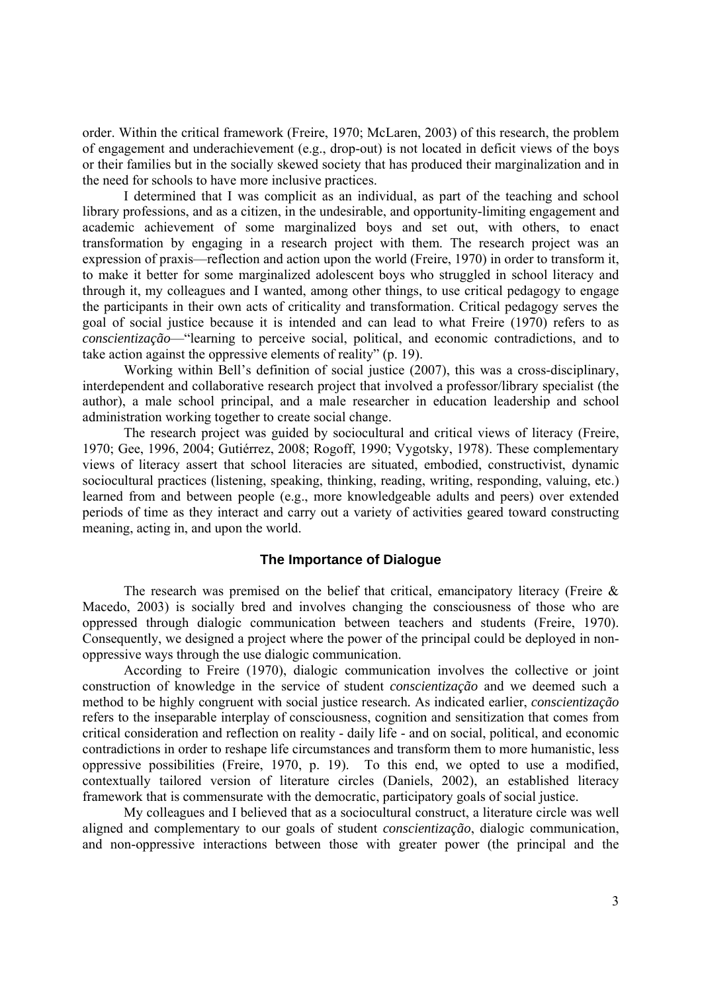order. Within the critical framework (Freire, 1970; McLaren, 2003) of this research, the problem of engagement and underachievement (e.g., drop-out) is not located in deficit views of the boys or their families but in the socially skewed society that has produced their marginalization and in the need for schools to have more inclusive practices.

I determined that I was complicit as an individual, as part of the teaching and school library professions, and as a citizen, in the undesirable, and opportunity-limiting engagement and academic achievement of some marginalized boys and set out, with others, to enact transformation by engaging in a research project with them. The research project was an expression of praxis—reflection and action upon the world (Freire, 1970) in order to transform it, to make it better for some marginalized adolescent boys who struggled in school literacy and through it, my colleagues and I wanted, among other things, to use critical pedagogy to engage the participants in their own acts of criticality and transformation. Critical pedagogy serves the goal of social justice because it is intended and can lead to what Freire (1970) refers to as *conscientização*—"learning to perceive social, political, and economic contradictions, and to take action against the oppressive elements of reality" (p. 19).

Working within Bell's definition of social justice (2007), this was a cross-disciplinary, interdependent and collaborative research project that involved a professor/library specialist (the author), a male school principal, and a male researcher in education leadership and school administration working together to create social change.

 The research project was guided by sociocultural and critical views of literacy (Freire, 1970; Gee, 1996, 2004; Gutiérrez, 2008; Rogoff, 1990; Vygotsky, 1978). These complementary views of literacy assert that school literacies are situated, embodied, constructivist, dynamic sociocultural practices (listening, speaking, thinking, reading, writing, responding, valuing, etc.) learned from and between people (e.g., more knowledgeable adults and peers) over extended periods of time as they interact and carry out a variety of activities geared toward constructing meaning, acting in, and upon the world.

# **The Importance of Dialogue**

The research was premised on the belief that critical, emancipatory literacy (Freire  $\&$ Macedo, 2003) is socially bred and involves changing the consciousness of those who are oppressed through dialogic communication between teachers and students (Freire, 1970). Consequently, we designed a project where the power of the principal could be deployed in nonoppressive ways through the use dialogic communication.

According to Freire (1970), dialogic communication involves the collective or joint construction of knowledge in the service of student *conscientização* and we deemed such a method to be highly congruent with social justice research*.* As indicated earlier, *conscientização* refers to the inseparable interplay of consciousness, cognition and sensitization that comes from critical consideration and reflection on reality - daily life - and on social, political, and economic contradictions in order to reshape life circumstances and transform them to more humanistic, less oppressive possibilities (Freire, 1970, p. 19). To this end, we opted to use a modified, contextually tailored version of literature circles (Daniels, 2002), an established literacy framework that is commensurate with the democratic, participatory goals of social justice.

My colleagues and I believed that as a sociocultural construct, a literature circle was well aligned and complementary to our goals of student *conscientização*, dialogic communication, and non-oppressive interactions between those with greater power (the principal and the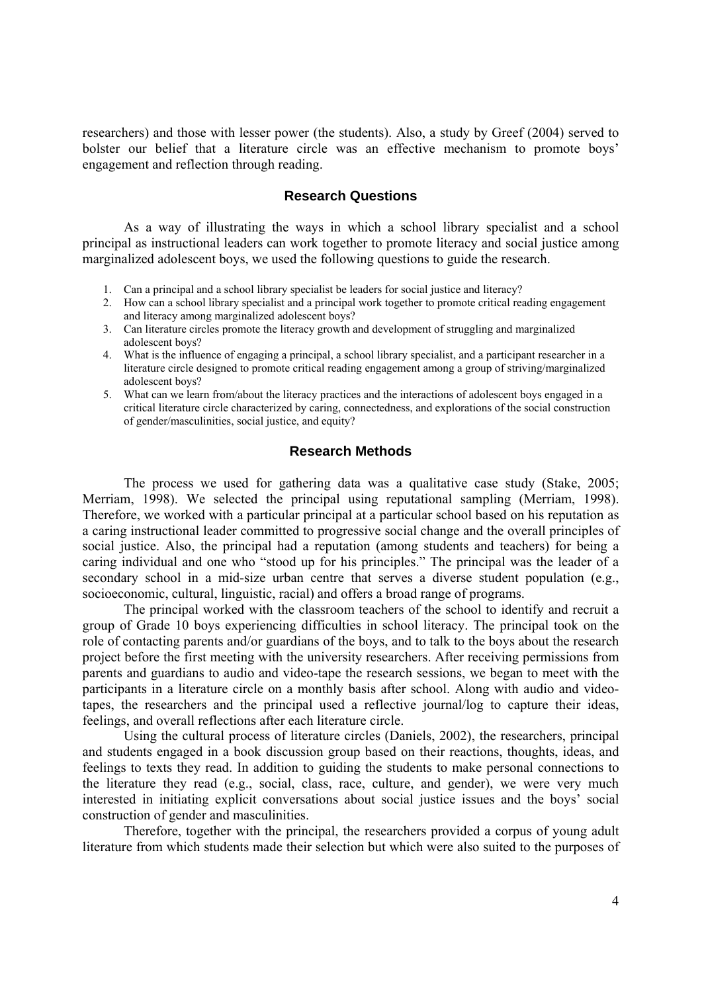researchers) and those with lesser power (the students). Also, a study by Greef (2004) served to bolster our belief that a literature circle was an effective mechanism to promote boys' engagement and reflection through reading.

#### **Research Questions**

As a way of illustrating the ways in which a school library specialist and a school principal as instructional leaders can work together to promote literacy and social justice among marginalized adolescent boys, we used the following questions to guide the research.

- 1. Can a principal and a school library specialist be leaders for social justice and literacy?
- 2. How can a school library specialist and a principal work together to promote critical reading engagement and literacy among marginalized adolescent boys?
- 3. Can literature circles promote the literacy growth and development of struggling and marginalized adolescent boys?
- 4. What is the influence of engaging a principal, a school library specialist, and a participant researcher in a literature circle designed to promote critical reading engagement among a group of striving/marginalized adolescent boys?
- 5. What can we learn from/about the literacy practices and the interactions of adolescent boys engaged in a critical literature circle characterized by caring, connectedness, and explorations of the social construction of gender/masculinities, social justice, and equity?

# **Research Methods**

The process we used for gathering data was a qualitative case study (Stake, 2005; Merriam, 1998). We selected the principal using reputational sampling (Merriam, 1998). Therefore, we worked with a particular principal at a particular school based on his reputation as a caring instructional leader committed to progressive social change and the overall principles of social justice. Also, the principal had a reputation (among students and teachers) for being a caring individual and one who "stood up for his principles." The principal was the leader of a secondary school in a mid-size urban centre that serves a diverse student population (e.g., socioeconomic, cultural, linguistic, racial) and offers a broad range of programs.

The principal worked with the classroom teachers of the school to identify and recruit a group of Grade 10 boys experiencing difficulties in school literacy. The principal took on the role of contacting parents and/or guardians of the boys, and to talk to the boys about the research project before the first meeting with the university researchers. After receiving permissions from parents and guardians to audio and video-tape the research sessions, we began to meet with the participants in a literature circle on a monthly basis after school. Along with audio and videotapes, the researchers and the principal used a reflective journal/log to capture their ideas, feelings, and overall reflections after each literature circle.

Using the cultural process of literature circles (Daniels, 2002), the researchers, principal and students engaged in a book discussion group based on their reactions, thoughts, ideas, and feelings to texts they read. In addition to guiding the students to make personal connections to the literature they read (e.g., social, class, race, culture, and gender), we were very much interested in initiating explicit conversations about social justice issues and the boys' social construction of gender and masculinities.

Therefore, together with the principal, the researchers provided a corpus of young adult literature from which students made their selection but which were also suited to the purposes of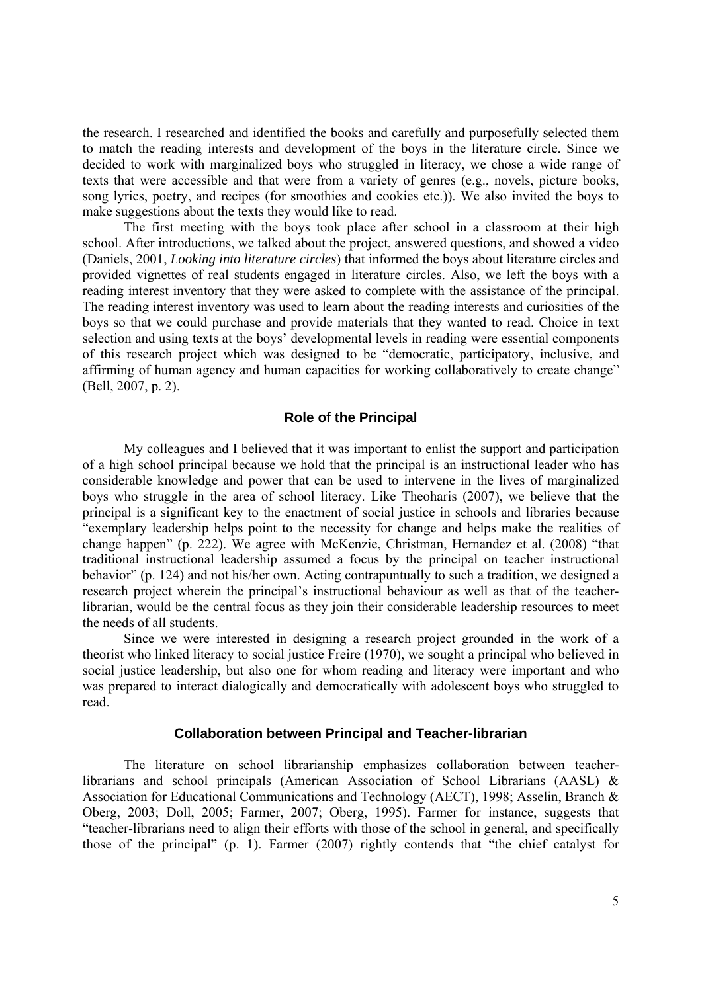the research. I researched and identified the books and carefully and purposefully selected them to match the reading interests and development of the boys in the literature circle. Since we decided to work with marginalized boys who struggled in literacy, we chose a wide range of texts that were accessible and that were from a variety of genres (e.g., novels, picture books, song lyrics, poetry, and recipes (for smoothies and cookies etc.)). We also invited the boys to make suggestions about the texts they would like to read.

The first meeting with the boys took place after school in a classroom at their high school. After introductions, we talked about the project, answered questions, and showed a video (Daniels, 2001, *Looking into literature circles*) that informed the boys about literature circles and provided vignettes of real students engaged in literature circles. Also, we left the boys with a reading interest inventory that they were asked to complete with the assistance of the principal. The reading interest inventory was used to learn about the reading interests and curiosities of the boys so that we could purchase and provide materials that they wanted to read. Choice in text selection and using texts at the boys' developmental levels in reading were essential components of this research project which was designed to be "democratic, participatory, inclusive, and affirming of human agency and human capacities for working collaboratively to create change" (Bell, 2007, p. 2).

# **Role of the Principal**

My colleagues and I believed that it was important to enlist the support and participation of a high school principal because we hold that the principal is an instructional leader who has considerable knowledge and power that can be used to intervene in the lives of marginalized boys who struggle in the area of school literacy. Like Theoharis (2007), we believe that the principal is a significant key to the enactment of social justice in schools and libraries because "exemplary leadership helps point to the necessity for change and helps make the realities of change happen" (p. 222). We agree with McKenzie, Christman, Hernandez et al. (2008) "that traditional instructional leadership assumed a focus by the principal on teacher instructional behavior" (p. 124) and not his/her own. Acting contrapuntually to such a tradition, we designed a research project wherein the principal's instructional behaviour as well as that of the teacherlibrarian, would be the central focus as they join their considerable leadership resources to meet the needs of all students.

 Since we were interested in designing a research project grounded in the work of a theorist who linked literacy to social justice Freire (1970), we sought a principal who believed in social justice leadership, but also one for whom reading and literacy were important and who was prepared to interact dialogically and democratically with adolescent boys who struggled to read.

# **Collaboration between Principal and Teacher-librarian**

The literature on school librarianship emphasizes collaboration between teacherlibrarians and school principals (American Association of School Librarians (AASL) & Association for Educational Communications and Technology (AECT), 1998; Asselin, Branch & Oberg, 2003; Doll, 2005; Farmer, 2007; Oberg, 1995). Farmer for instance, suggests that "teacher-librarians need to align their efforts with those of the school in general, and specifically those of the principal" (p. 1). Farmer (2007) rightly contends that "the chief catalyst for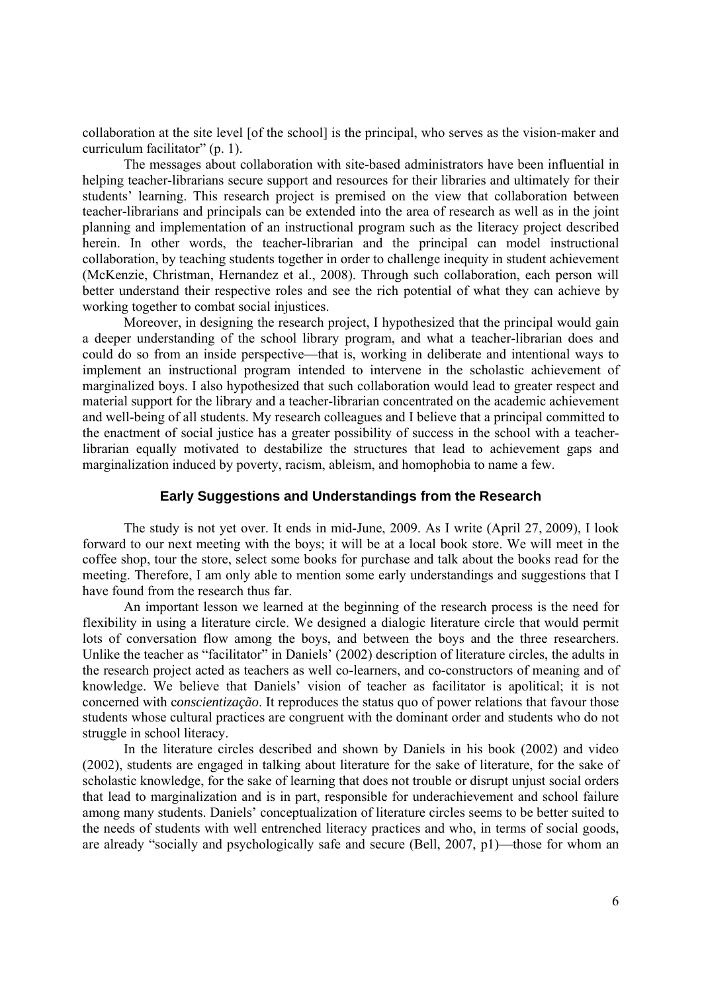collaboration at the site level [of the school] is the principal, who serves as the vision-maker and curriculum facilitator" (p. 1).

 The messages about collaboration with site-based administrators have been influential in helping teacher-librarians secure support and resources for their libraries and ultimately for their students' learning. This research project is premised on the view that collaboration between teacher-librarians and principals can be extended into the area of research as well as in the joint planning and implementation of an instructional program such as the literacy project described herein. In other words, the teacher-librarian and the principal can model instructional collaboration, by teaching students together in order to challenge inequity in student achievement (McKenzie, Christman, Hernandez et al., 2008). Through such collaboration, each person will better understand their respective roles and see the rich potential of what they can achieve by working together to combat social injustices.

Moreover, in designing the research project, I hypothesized that the principal would gain a deeper understanding of the school library program, and what a teacher-librarian does and could do so from an inside perspective—that is, working in deliberate and intentional ways to implement an instructional program intended to intervene in the scholastic achievement of marginalized boys. I also hypothesized that such collaboration would lead to greater respect and material support for the library and a teacher-librarian concentrated on the academic achievement and well-being of all students. My research colleagues and I believe that a principal committed to the enactment of social justice has a greater possibility of success in the school with a teacherlibrarian equally motivated to destabilize the structures that lead to achievement gaps and marginalization induced by poverty, racism, ableism, and homophobia to name a few.

# **Early Suggestions and Understandings from the Research**

The study is not yet over. It ends in mid-June, 2009. As I write (April 27, 2009), I look forward to our next meeting with the boys; it will be at a local book store. We will meet in the coffee shop, tour the store, select some books for purchase and talk about the books read for the meeting. Therefore, I am only able to mention some early understandings and suggestions that I have found from the research thus far.

An important lesson we learned at the beginning of the research process is the need for flexibility in using a literature circle. We designed a dialogic literature circle that would permit lots of conversation flow among the boys, and between the boys and the three researchers. Unlike the teacher as "facilitator" in Daniels' (2002) description of literature circles, the adults in the research project acted as teachers as well co-learners, and co-constructors of meaning and of knowledge. We believe that Daniels' vision of teacher as facilitator is apolitical; it is not concerned with c*onscientização*. It reproduces the status quo of power relations that favour those students whose cultural practices are congruent with the dominant order and students who do not struggle in school literacy.

In the literature circles described and shown by Daniels in his book (2002) and video (2002), students are engaged in talking about literature for the sake of literature, for the sake of scholastic knowledge, for the sake of learning that does not trouble or disrupt unjust social orders that lead to marginalization and is in part, responsible for underachievement and school failure among many students. Daniels' conceptualization of literature circles seems to be better suited to the needs of students with well entrenched literacy practices and who, in terms of social goods, are already "socially and psychologically safe and secure (Bell, 2007, p1)—those for whom an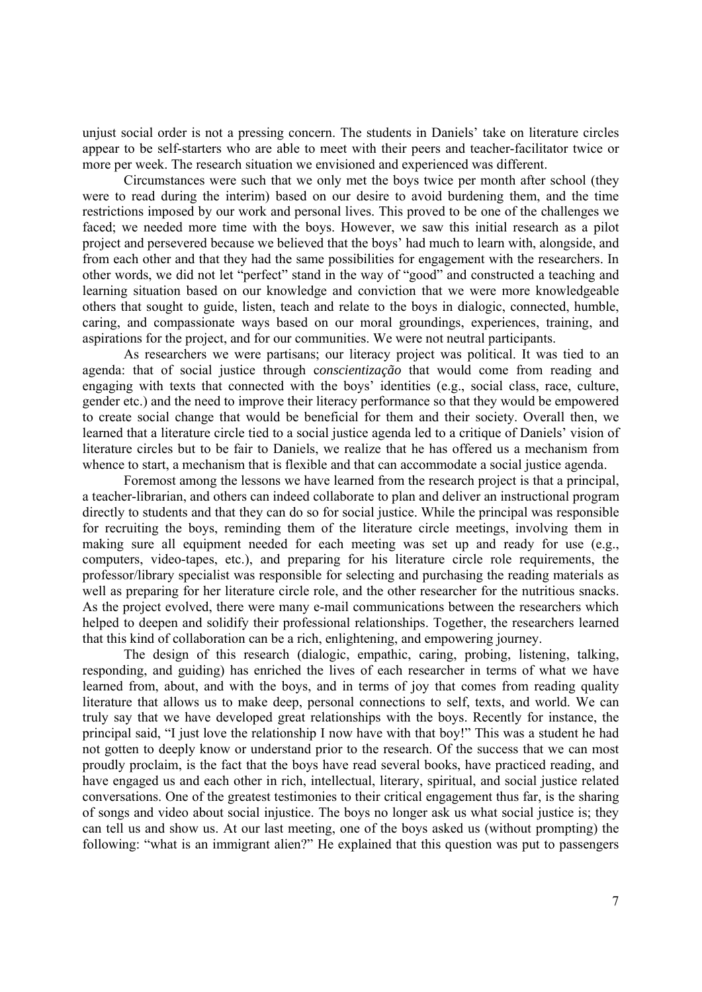unjust social order is not a pressing concern. The students in Daniels' take on literature circles appear to be self-starters who are able to meet with their peers and teacher-facilitator twice or more per week. The research situation we envisioned and experienced was different.

Circumstances were such that we only met the boys twice per month after school (they were to read during the interim) based on our desire to avoid burdening them, and the time restrictions imposed by our work and personal lives. This proved to be one of the challenges we faced; we needed more time with the boys. However, we saw this initial research as a pilot project and persevered because we believed that the boys' had much to learn with, alongside, and from each other and that they had the same possibilities for engagement with the researchers. In other words, we did not let "perfect" stand in the way of "good" and constructed a teaching and learning situation based on our knowledge and conviction that we were more knowledgeable others that sought to guide, listen, teach and relate to the boys in dialogic, connected, humble, caring, and compassionate ways based on our moral groundings, experiences, training, and aspirations for the project, and for our communities. We were not neutral participants.

As researchers we were partisans; our literacy project was political. It was tied to an agenda: that of social justice through c*onscientização* that would come from reading and engaging with texts that connected with the boys' identities (e.g., social class, race, culture, gender etc.) and the need to improve their literacy performance so that they would be empowered to create social change that would be beneficial for them and their society. Overall then, we learned that a literature circle tied to a social justice agenda led to a critique of Daniels' vision of literature circles but to be fair to Daniels, we realize that he has offered us a mechanism from whence to start, a mechanism that is flexible and that can accommodate a social justice agenda.

Foremost among the lessons we have learned from the research project is that a principal, a teacher-librarian, and others can indeed collaborate to plan and deliver an instructional program directly to students and that they can do so for social justice. While the principal was responsible for recruiting the boys, reminding them of the literature circle meetings, involving them in making sure all equipment needed for each meeting was set up and ready for use (e.g., computers, video-tapes, etc.), and preparing for his literature circle role requirements, the professor/library specialist was responsible for selecting and purchasing the reading materials as well as preparing for her literature circle role, and the other researcher for the nutritious snacks. As the project evolved, there were many e-mail communications between the researchers which helped to deepen and solidify their professional relationships. Together, the researchers learned that this kind of collaboration can be a rich, enlightening, and empowering journey.

The design of this research (dialogic, empathic, caring, probing, listening, talking, responding, and guiding) has enriched the lives of each researcher in terms of what we have learned from, about, and with the boys, and in terms of joy that comes from reading quality literature that allows us to make deep, personal connections to self, texts, and world. We can truly say that we have developed great relationships with the boys. Recently for instance, the principal said, "I just love the relationship I now have with that boy!" This was a student he had not gotten to deeply know or understand prior to the research. Of the success that we can most proudly proclaim, is the fact that the boys have read several books, have practiced reading, and have engaged us and each other in rich, intellectual, literary, spiritual, and social justice related conversations. One of the greatest testimonies to their critical engagement thus far, is the sharing of songs and video about social injustice. The boys no longer ask us what social justice is; they can tell us and show us. At our last meeting, one of the boys asked us (without prompting) the following: "what is an immigrant alien?" He explained that this question was put to passengers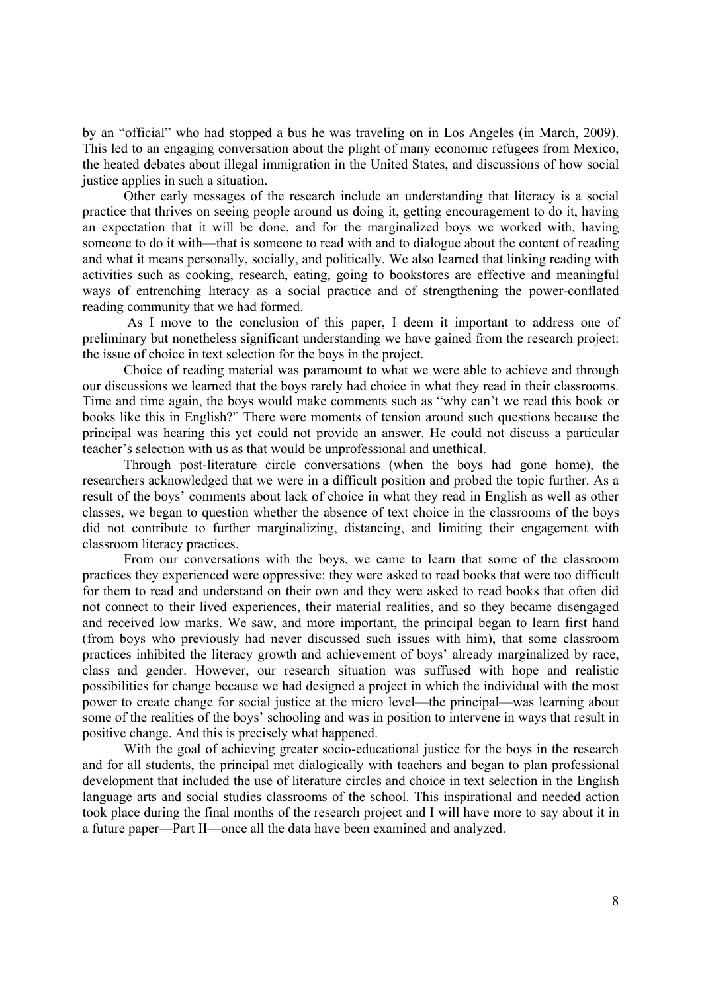by an "official" who had stopped a bus he was traveling on in Los Angeles (in March, 2009). This led to an engaging conversation about the plight of many economic refugees from Mexico, the heated debates about illegal immigration in the United States, and discussions of how social justice applies in such a situation.

Other early messages of the research include an understanding that literacy is a social practice that thrives on seeing people around us doing it, getting encouragement to do it, having an expectation that it will be done, and for the marginalized boys we worked with, having someone to do it with—that is someone to read with and to dialogue about the content of reading and what it means personally, socially, and politically. We also learned that linking reading with activities such as cooking, research, eating, going to bookstores are effective and meaningful ways of entrenching literacy as a social practice and of strengthening the power-conflated reading community that we had formed.

 As I move to the conclusion of this paper, I deem it important to address one of preliminary but nonetheless significant understanding we have gained from the research project: the issue of choice in text selection for the boys in the project.

Choice of reading material was paramount to what we were able to achieve and through our discussions we learned that the boys rarely had choice in what they read in their classrooms. Time and time again, the boys would make comments such as "why can't we read this book or books like this in English?" There were moments of tension around such questions because the principal was hearing this yet could not provide an answer. He could not discuss a particular teacher's selection with us as that would be unprofessional and unethical.

Through post-literature circle conversations (when the boys had gone home), the researchers acknowledged that we were in a difficult position and probed the topic further. As a result of the boys' comments about lack of choice in what they read in English as well as other classes, we began to question whether the absence of text choice in the classrooms of the boys did not contribute to further marginalizing, distancing, and limiting their engagement with classroom literacy practices.

From our conversations with the boys, we came to learn that some of the classroom practices they experienced were oppressive: they were asked to read books that were too difficult for them to read and understand on their own and they were asked to read books that often did not connect to their lived experiences, their material realities, and so they became disengaged and received low marks. We saw, and more important, the principal began to learn first hand (from boys who previously had never discussed such issues with him), that some classroom practices inhibited the literacy growth and achievement of boys' already marginalized by race, class and gender. However, our research situation was suffused with hope and realistic possibilities for change because we had designed a project in which the individual with the most power to create change for social justice at the micro level—the principal—was learning about some of the realities of the boys' schooling and was in position to intervene in ways that result in positive change. And this is precisely what happened.

With the goal of achieving greater socio-educational justice for the boys in the research and for all students, the principal met dialogically with teachers and began to plan professional development that included the use of literature circles and choice in text selection in the English language arts and social studies classrooms of the school. This inspirational and needed action took place during the final months of the research project and I will have more to say about it in a future paper—Part II—once all the data have been examined and analyzed.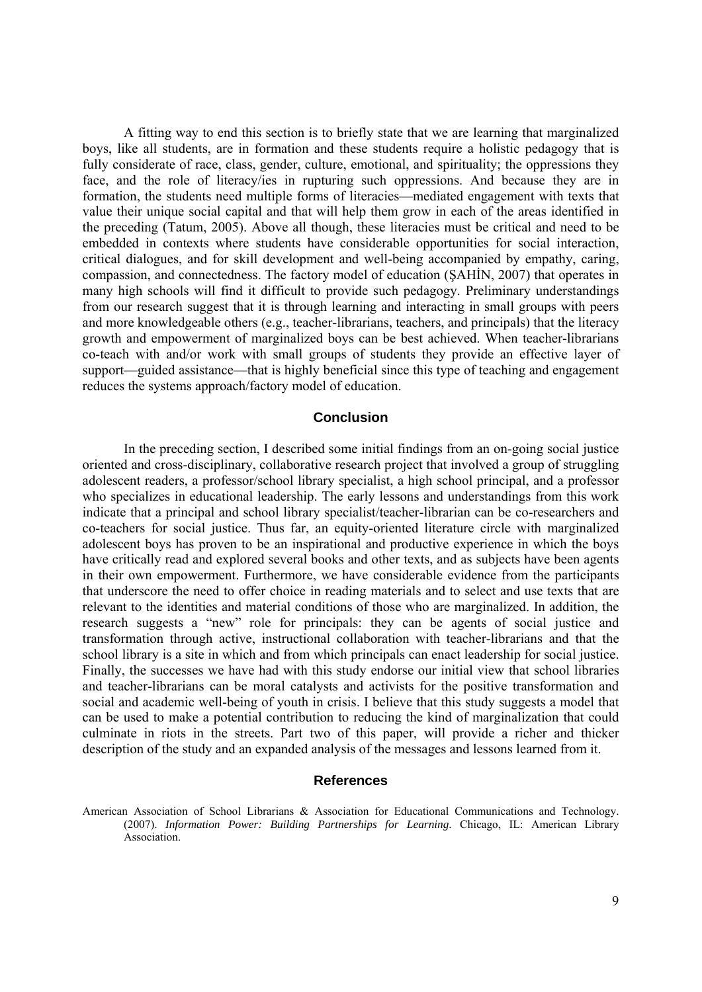A fitting way to end this section is to briefly state that we are learning that marginalized boys, like all students, are in formation and these students require a holistic pedagogy that is fully considerate of race, class, gender, culture, emotional, and spirituality; the oppressions they face, and the role of literacy/ies in rupturing such oppressions. And because they are in formation, the students need multiple forms of literacies—mediated engagement with texts that value their unique social capital and that will help them grow in each of the areas identified in the preceding (Tatum, 2005). Above all though, these literacies must be critical and need to be embedded in contexts where students have considerable opportunities for social interaction, critical dialogues, and for skill development and well-being accompanied by empathy, caring, compassion, and connectedness. The factory model of education (ŞAHİN, 2007) that operates in many high schools will find it difficult to provide such pedagogy. Preliminary understandings from our research suggest that it is through learning and interacting in small groups with peers and more knowledgeable others (e.g., teacher-librarians, teachers, and principals) that the literacy growth and empowerment of marginalized boys can be best achieved. When teacher-librarians co-teach with and/or work with small groups of students they provide an effective layer of support—guided assistance—that is highly beneficial since this type of teaching and engagement reduces the systems approach/factory model of education.

# **Conclusion**

In the preceding section, I described some initial findings from an on-going social justice oriented and cross-disciplinary, collaborative research project that involved a group of struggling adolescent readers, a professor/school library specialist, a high school principal, and a professor who specializes in educational leadership. The early lessons and understandings from this work indicate that a principal and school library specialist/teacher-librarian can be co-researchers and co-teachers for social justice. Thus far, an equity-oriented literature circle with marginalized adolescent boys has proven to be an inspirational and productive experience in which the boys have critically read and explored several books and other texts, and as subjects have been agents in their own empowerment. Furthermore, we have considerable evidence from the participants that underscore the need to offer choice in reading materials and to select and use texts that are relevant to the identities and material conditions of those who are marginalized. In addition, the research suggests a "new" role for principals: they can be agents of social justice and transformation through active, instructional collaboration with teacher-librarians and that the school library is a site in which and from which principals can enact leadership for social justice. Finally, the successes we have had with this study endorse our initial view that school libraries and teacher-librarians can be moral catalysts and activists for the positive transformation and social and academic well-being of youth in crisis. I believe that this study suggests a model that can be used to make a potential contribution to reducing the kind of marginalization that could culminate in riots in the streets. Part two of this paper, will provide a richer and thicker description of the study and an expanded analysis of the messages and lessons learned from it.

#### **References**

American Association of School Librarians & Association for Educational Communications and Technology. (2007). *Information Power: Building Partnerships for Learning*. Chicago, IL: American Library **Association**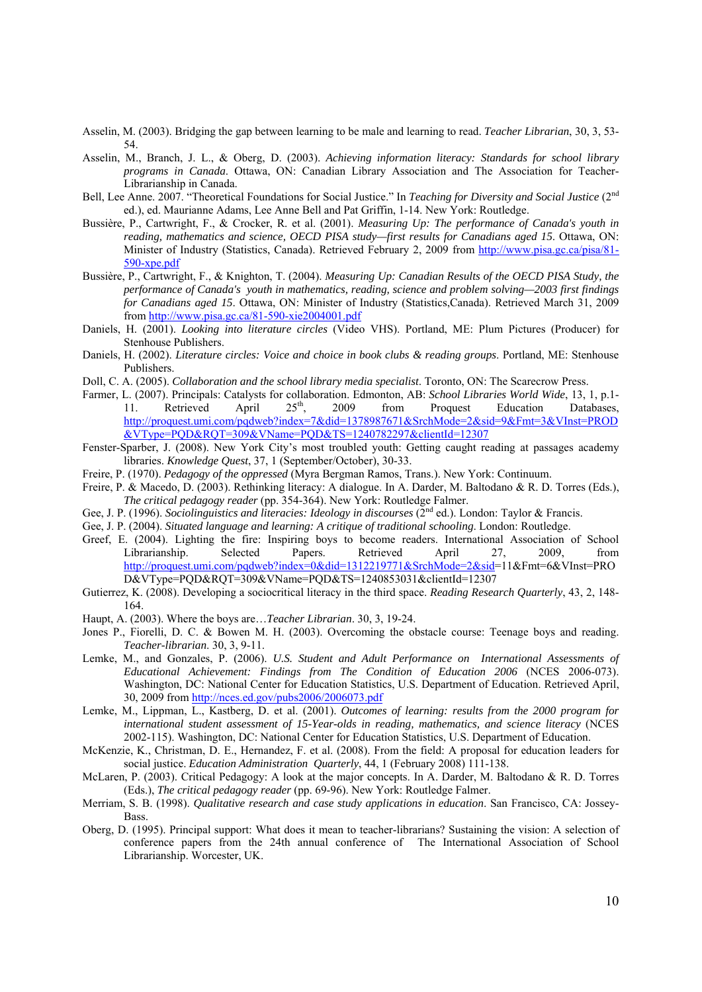- Asselin, M. (2003). Bridging the gap between learning to be male and learning to read. *Teacher Librarian*, 30, 3, 53- 54.
- Asselin, M., Branch, J. L., & Oberg, D. (2003). *Achieving information literacy: Standards for school library programs in Canada*. Ottawa, ON: Canadian Library Association and The Association for Teacher-Librarianship in Canada.
- Bell, Lee Anne. 2007. "Theoretical Foundations for Social Justice." In *Teaching for Diversity and Social Justice* (2<sup>nd</sup>) ed.), ed. Maurianne Adams, Lee Anne Bell and Pat Griffin, 1-14. New York: Routledge.
- Bussière, P., Cartwright, F., & Crocker, R. et al. (2001). *Measuring Up: The performance of Canada's youth in reading, mathematics and science, OECD PISA study—first results for Canadians aged 15*. Ottawa, ON: Minister of Industry (Statistics, Canada). Retrieved February 2, 2009 from http://www.pisa.gc.ca/pisa/81-590-xpe.pdf
- Bussière, P., Cartwright, F., & Knighton, T. (2004). *Measuring Up: Canadian Results of the OECD PISA Study, the performance of Canada's youth in mathematics, reading, science and problem solving—2003 first findings for Canadians aged 15*. Ottawa, ON: Minister of Industry (Statistics,Canada). Retrieved March 31, 2009 from http://www.pisa.gc.ca/81-590-xie2004001.pdf
- Daniels, H. (2001). *Looking into literature circles* (Video VHS). Portland, ME: Plum Pictures (Producer) for Stenhouse Publishers.
- Daniels, H. (2002). *Literature circles: Voice and choice in book clubs & reading groups*. Portland, ME: Stenhouse Publishers.
- Doll, C. A. (2005). *Collaboration and the school library media specialist*. Toronto, ON: The Scarecrow Press.
- Farmer, L. (2007). Principals: Catalysts for collaboration. Edmonton, AB: *School Libraries World Wide*, 13, 1, p.1-<br>11. Retrieved April  $25<sup>th</sup>$ , 2009 from Proquest Education Databases, 11. Retrieved April 25<sup>th</sup>, 2009 from Proquest Education Databases, http://proquest.umi.com/pqdweb?index=7&did=1378987671&SrchMode=2&sid=9&Fmt=3&VInst=PROD &VType=PQD&RQT=309&VName=PQD&TS=1240782297&clientId=12307
- Fenster-Sparber, J. (2008). New York City's most troubled youth: Getting caught reading at passages academy libraries. *Knowledge Quest*, 37, 1 (September/October), 30-33.
- Freire, P. (1970). *Pedagogy of the oppressed* (Myra Bergman Ramos, Trans.). New York: Continuum.
- Freire, P. & Macedo, D. (2003). Rethinking literacy: A dialogue. In A. Darder, M. Baltodano & R. D. Torres (Eds.), *The critical pedagogy reader* (pp. 354-364). New York: Routledge Falmer.
- Gee, J. P. (1996). *Sociolinguistics and literacies: Ideology in discourses* (2<sup>nd</sup> ed.). London: Taylor & Francis.
- Gee, J. P. (2004). *Situated language and learning: A critique of traditional schooling*. London: Routledge.
- Greef, E. (2004). Lighting the fire: Inspiring boys to become readers. International Association of School Librarianship. Selected Papers. Retrieved April 27, 2009, from http://proquest.umi.com/pqdweb?index=0&did=1312219771&SrchMode=2&sid=11&Fmt=6&VInst=PRO D&VType=PQD&RQT=309&VName=PQD&TS=1240853031&clientId=12307
- Gutierrez, K. (2008). Developing a sociocritical literacy in the third space. *Reading Research Quarterly*, 43, 2, 148- 164.
- Haupt, A. (2003). Where the boys are…*Teacher Librarian*. 30, 3, 19-24.
- Jones P., Fiorelli, D. C. & Bowen M. H. (2003). Overcoming the obstacle course: Teenage boys and reading. *Teacher-librarian*. 30, 3, 9-11.
- Lemke, M., and Gonzales, P. (2006). *U.S. Student and Adult Performance on International Assessments of Educational Achievement: Findings from The Condition of Education 2006* (NCES 2006-073). Washington, DC: National Center for Education Statistics, U.S. Department of Education. Retrieved April, 30, 2009 from http://nces.ed.gov/pubs2006/2006073.pdf
- Lemke, M., Lippman, L., Kastberg, D. et al. (2001). *Outcomes of learning: results from the 2000 program for international student assessment of 15-Year-olds in reading, mathematics, and science literacy* (NCES 2002-115). Washington, DC: National Center for Education Statistics, U.S. Department of Education.
- McKenzie, K., Christman, D. E., Hernandez, F. et al. (2008). From the field: A proposal for education leaders for social justice. *Education Administration Quarterly*, 44, 1 (February 2008) 111-138.
- McLaren, P. (2003). Critical Pedagogy: A look at the major concepts. In A. Darder, M. Baltodano & R. D. Torres (Eds.), *The critical pedagogy reader* (pp. 69-96). New York: Routledge Falmer.
- Merriam, S. B. (1998). *Qualitative research and case study applications in education*. San Francisco, CA: Jossey-Bass.
- Oberg, D. (1995). Principal support: What does it mean to teacher-librarians? Sustaining the vision: A selection of conference papers from the 24th annual conference of The International Association of School Librarianship. Worcester, UK.